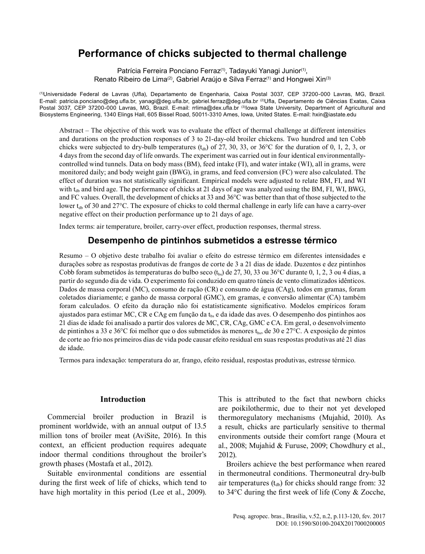# **Performance of chicks subjected to thermal challenge**

Patrícia Ferreira Ponciano Ferraz<sup>(1)</sup>, Tadayuki Yanagi Junior<sup>(1)</sup>, Renato Ribeiro de Lima<sup>(2)</sup>, Gabriel Araújo e Silva Ferraz<sup>(1)</sup> and Hongwei Xin<sup>(3)</sup>

(1)Universidade Federal de Lavras (Ufla), Departamento de Engenharia, Caixa Postal 3037, CEP 37200‑000 Lavras, MG, Brazil. E-mail: patricia.ponciano@deg.ufla.br, yanagi@deg.ufla.br, gabriel.ferraz@deg.ufla.br (2)Ufla, Departamento de Ciências Exatas, Caixa Postal 3037, CEP 37200-000 Lavras, MG, Brazil. E-mail: rrlima@dex.ufla.br (3)Iowa State University, Department of Agricultural and Biosystems Engineering, 1340 Elings Hall, 605 Bissel Road, 50011-3310 Ames, Iowa, United States. E-mail: hxin@iastate.edu

Abstract – The objective of this work was to evaluate the effect of thermal challenge at different intensities and durations on the production responses of 3 to 21-day-old broiler chickens. Two hundred and ten Cobb chicks were subjected to dry-bulb temperatures  $(t_{db})$  of 27, 30, 33, or 36°C for the duration of 0, 1, 2, 3, or 4 days from the second day of life onwards. The experiment was carried out in four identical environmentallycontrolled wind tunnels. Data on body mass (BM), feed intake (FI), and water intake (WI), all in grams, were monitored daily; and body weight gain (BWG), in grams, and feed conversion (FC) were also calculated. The effect of duration was not statistically significant. Empirical models were adjusted to relate BM, FI, and WI with  $t_{db}$  and bird age. The performance of chicks at 21 days of age was analyzed using the BM, FI, WI, BWG, and FC values. Overall, the development of chicks at 33 and 36°C was better than that of those subjected to the lower  $t_{db}$  of 30 and 27°C. The exposure of chicks to cold thermal challenge in early life can have a carry-over negative effect on their production performance up to 21 days of age.

Index terms: air temperature, broiler, carry-over effect, production responses, thermal stress.

# **Desempenho de pintinhos submetidos a estresse térmico**

Resumo – O objetivo deste trabalho foi avaliar o efeito do estresse térmico em diferentes intensidades e durações sobre as respostas produtivas de frangos de corte de 3 a 21 dias de idade. Duzentos e dez pintinhos Cobb foram submetidos às temperaturas do bulbo seco  $(t_{bs})$  de 27, 30, 33 ou 36°C durante 0, 1, 2, 3 ou 4 dias, a partir do segundo dia de vida. O experimento foi conduzido em quatro túneis de vento climatizados idênticos. Dados de massa corporal (MC), consumo de ração (CR) e consumo de água (CAg), todos em gramas, foram coletados diariamente; e ganho de massa corporal (GMC), em gramas, e conversão alimentar (CA) também foram calculados. O efeito da duração não foi estatisticamente significativo. Modelos empíricos foram ajustados para estimar MC, CR e CAg em função da  $t_{bs}$  e da idade das aves. O desempenho dos pintinhos aos 21 dias de idade foi analisado a partir dos valores de MC, CR, CAg, GMC e CA. Em geral, o desenvolvimento de pintinhos a 33 e 36°C foi melhor que o dos submetidos às menores  $t_{bs}$ , de 30 e 27°C. A exposição de pintos de corte ao frio nos primeiros dias de vida pode causar efeito residual em suas respostas produtivas até 21 dias de idade.

Termos para indexação: temperatura do ar, frango, efeito residual, respostas produtivas, estresse térmico.

## **Introduction**

Commercial broiler production in Brazil is prominent worldwide, with an annual output of 13.5 million tons of broiler meat (AviSite, 2016). In this context, an efficient production requires adequate indoor thermal conditions throughout the broiler's growth phases (Mostafa et al., 2012).

Suitable environmental conditions are essential during the first week of life of chicks, which tend to have high mortality in this period (Lee et al., 2009). This is attributed to the fact that newborn chicks are poikilothermic, due to their not yet developed thermoregulatory mechanisms (Mujahid, 2010). As a result, chicks are particularly sensitive to thermal environments outside their comfort range (Moura et al., 2008; Mujahid & Furuse, 2009; Chowdhury et al., 2012).

Broilers achieve the best performance when reared in thermoneutral conditions. Thermoneutral dry-bulb air temperatures  $(t_{db})$  for chicks should range from: 32 to 34°C during the first week of life (Cony & Zocche,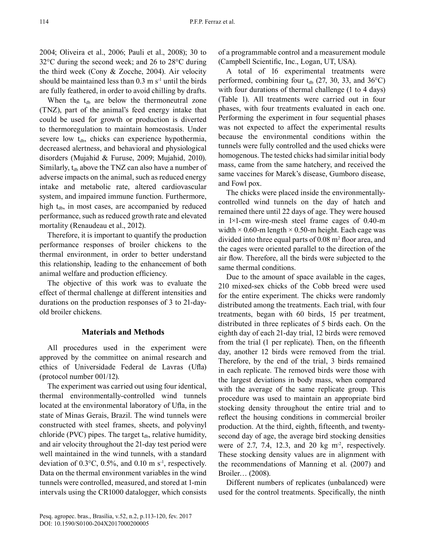2004; Oliveira et al., 2006; Pauli et al., 2008); 30 to 32°C during the second week; and 26 to 28°C during the third week (Cony & Zocche, 2004). Air velocity should be maintained less than  $0.3 \text{ m s}^{-1}$  until the birds are fully feathered, in order to avoid chilling by drafts.

When the  $t_{db}$  are below the thermoneutral zone (TNZ), part of the animal's feed energy intake that could be used for growth or production is diverted to thermoregulation to maintain homeostasis. Under severe low  $t_{db}$ , chicks can experience hypothermia, decreased alertness, and behavioral and physiological disorders (Mujahid & Furuse, 2009; Mujahid, 2010). Similarly,  $t_{db}$  above the TNZ can also have a number of adverse impacts on the animal, such as reduced energy intake and metabolic rate, altered cardiovascular system, and impaired immune function. Furthermore, high  $t_{db}$ , in most cases, are accompanied by reduced performance, such as reduced growth rate and elevated mortality (Renaudeau et al., 2012).

Therefore, it is important to quantify the production performance responses of broiler chickens to the thermal environment, in order to better understand this relationship, leading to the enhancement of both animal welfare and production efficiency.

The objective of this work was to evaluate the effect of thermal challenge at different intensities and durations on the production responses of 3 to 21-dayold broiler chickens.

### **Materials and Methods**

All procedures used in the experiment were approved by the committee on animal research and ethics of Universidade Federal de Lavras (Ufla) (protocol number 001/12).

The experiment was carried out using four identical, thermal environmentally-controlled wind tunnels located at the environmental laboratory of Ufla, in the state of Minas Gerais, Brazil. The wind tunnels were constructed with steel frames, sheets, and polyvinyl chloride (PVC) pipes. The target  $t_{db}$ , relative humidity, and air velocity throughout the 21-day test period were well maintained in the wind tunnels, with a standard deviation of  $0.3^{\circ}$ C,  $0.5\%$ , and  $0.10$  m s<sup>-1</sup>, respectively. Data on the thermal environment variables in the wind tunnels were controlled, measured, and stored at 1-min intervals using the CR1000 datalogger, which consists of a programmable control and a measurement module (Campbell Scientific, Inc., Logan, UT, USA).

A total of 16 experimental treatments were performed, combining four  $t_{db}$  (27, 30, 33, and 36 $^{\circ}$ C) with four durations of thermal challenge (1 to 4 days) (Table 1). All treatments were carried out in four phases, with four treatments evaluated in each one. Performing the experiment in four sequential phases was not expected to affect the experimental results because the environmental conditions within the tunnels were fully controlled and the used chicks were homogenous. The tested chicks had similar initial body mass, came from the same hatchery, and received the same vaccines for Marek's disease, Gumboro disease, and Fowl pox.

The chicks were placed inside the environmentallycontrolled wind tunnels on the day of hatch and remained there until 22 days of age. They were housed in 1×1-cm wire-mesh steel frame cages of 0.40-m width  $\times$  0.60-m length  $\times$  0.50-m height. Each cage was divided into three equal parts of  $0.08 \text{ m}^2$  floor area, and the cages were oriented parallel to the direction of the air flow. Therefore, all the birds were subjected to the same thermal conditions.

Due to the amount of space available in the cages, 210 mixed-sex chicks of the Cobb breed were used for the entire experiment. The chicks were randomly distributed among the treatments. Each trial, with four treatments, began with 60 birds, 15 per treatment, distributed in three replicates of 5 birds each. On the eighth day of each 21-day trial, 12 birds were removed from the trial (1 per replicate). Then, on the fifteenth day, another 12 birds were removed from the trial. Therefore, by the end of the trial, 3 birds remained in each replicate. The removed birds were those with the largest deviations in body mass, when compared with the average of the same replicate group. This procedure was used to maintain an appropriate bird stocking density throughout the entire trial and to reflect the housing conditions in commercial broiler production. At the third, eighth, fifteenth, and twentysecond day of age, the average bird stocking densities were of 2.7, 7.4, 12.3, and 20 kg  $m<sup>2</sup>$ , respectively. These stocking density values are in alignment with the recommendations of Manning et al. (2007) and Broiler… (2008).

Different numbers of replicates (unbalanced) were used for the control treatments. Specifically, the ninth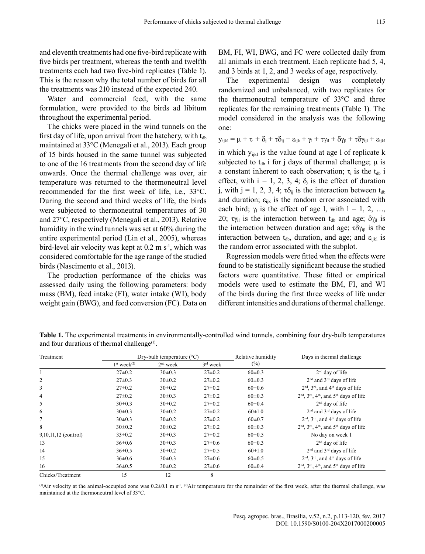and eleventh treatments had one five-bird replicate with five birds per treatment, whereas the tenth and twelfth treatments each had two five-bird replicates (Table 1). This is the reason why the total number of birds for all the treatments was 210 instead of the expected 240.

Water and commercial feed, with the same formulation, were provided to the birds ad libitum throughout the experimental period.

The chicks were placed in the wind tunnels on the first day of life, upon arrival from the hatchery, with  $t_{db}$ maintained at 33°C (Menegali et al., 2013). Each group of 15 birds housed in the same tunnel was subjected to one of the 16 treatments from the second day of life onwards. Once the thermal challenge was over, air temperature was returned to the thermoneutral level recommended for the first week of life, i.e., 33°C. During the second and third weeks of life, the birds were subjected to thermoneutral temperatures of 30 and 27°C, respectively (Menegali et al., 2013). Relative humidity in the wind tunnels was set at 60% during the entire experimental period (Lin et al., 2005), whereas bird-level air velocity was kept at  $0.2 \text{ m s}^{-1}$ , which was considered comfortable for the age range of the studied birds (Nascimento et al., 2013).

The production performance of the chicks was assessed daily using the following parameters: body mass (BM), feed intake (FI), water intake (WI), body weight gain (BWG), and feed conversion (FC). Data on BM, FI, WI, BWG, and FC were collected daily from all animals in each treatment. Each replicate had 5, 4, and 3 birds at 1, 2, and 3 weeks of age, respectively.

The experimental design was completely randomized and unbalanced, with two replicates for the thermoneutral temperature of 33°C and three replicates for the remaining treatments (Table 1). The model considered in the analysis was the following one:

 $y_{ijkl} = \mu + \tau_i + \delta_j + \tau \delta_{ij} + \varepsilon_{ijk} + \gamma_l + \tau \gamma_{il} + \delta \gamma_{il} + \tau \delta \gamma_{il} + \varepsilon_{ijkl}$ 

in which  $y_{ijkl}$  is the value found at age 1 of replicate k subjected to  $t_{db}$  i for j days of thermal challenge;  $\mu$  is a constant inherent to each observation;  $\tau_i$  is the  $t_{db}$  i effect, with  $i = 1, 2, 3, 4$ ;  $\delta_i$  is the effect of duration j, with j = 1, 2, 3, 4;  $\tau \delta_{ij}$  is the interaction between  $t_{db}$ and duration;  $\varepsilon_{ijk}$  is the random error associated with each bird;  $\gamma_1$  is the effect of age l, with  $l = 1, 2, ...,$ 20;  $\tau y_{il}$  is the interaction between t<sub>db</sub> and age;  $\delta y_{il}$  is the interaction between duration and age;  $\tau \delta \gamma_{\rm{ii}}$  is the interaction between  $t_{db}$ , duration, and age; and  $\varepsilon_{ijkl}$  is the random error associated with the subplot.

Regression models were fitted when the effects were found to be statistically significant because the studied factors were quantitative. These fitted or empirical models were used to estimate the BM, FI, and WI of the birds during the first three weeks of life under different intensities and durations of thermal challenge.

**Table 1.** The experimental treatments in environmentally-controlled wind tunnels, combining four dry-bulb temperatures and four durations of thermal challenge $(1)$ .

| Treatment              | Dry-bulb temperature $(^{\circ}C)$ |            |              | Relative humidity | Days in thermal challenge                      |  |
|------------------------|------------------------------------|------------|--------------|-------------------|------------------------------------------------|--|
|                        | $1st$ week <sup>(2)</sup>          | $2nd$ week | $3rd$ week   | $(\%)$            |                                                |  |
|                        | $27 \pm 0.2$                       | $30\pm0.3$ | $27 \pm 0.2$ | $60\pm0.3$        | $2nd$ day of life                              |  |
| $\overline{c}$         | $27 \pm 0.3$                       | $30\pm0.2$ | $27\pm0.2$   | $60\pm0.3$        | $2nd$ and $3rd$ days of life                   |  |
| 3                      | $27\pm0.2$                         | $30\pm0.2$ | $27\pm0.2$   | $60 \pm 0.6$      | $2nd$ , $3rd$ , and $4th$ days of life         |  |
| 4                      | $27 \pm 0.2$                       | $30\pm0.3$ | $27 \pm 0.2$ | $60 \pm 0.3$      | $2nd$ , $3rd$ , $4th$ , and $5th$ days of life |  |
| 5                      | $30\pm0.3$                         | $30\pm0.2$ | $27\pm0.2$   | $60\pm0.4$        | $2nd$ day of life                              |  |
| 6                      | $30\pm0.3$                         | $30\pm0.2$ | $27\pm0.2$   | $60 \pm 1.0$      | $2nd$ and $3rd$ days of life                   |  |
| 7                      | $30\pm0.3$                         | $30\pm0.2$ | $27 \pm 0.2$ | $60 \pm 0.7$      | $2nd$ , $3rd$ , and $4th$ days of life         |  |
| 8                      | $30\pm0.2$                         | $30\pm0.2$ | $27\pm0.2$   | $60\pm0.3$        | $2nd$ , $3rd$ , $4th$ , and $5th$ days of life |  |
| $9,10,11,12$ (control) | $33\pm0.2$                         | $30\pm0.3$ | $27 \pm 0.2$ | $60 \pm 0.5$      | No day on week 1                               |  |
| 13                     | $36\pm0.6$                         | $30\pm0.3$ | $27 \pm 0.6$ | $60\pm0.3$        | $2nd$ day of life                              |  |
| 14                     | $36\pm0.5$                         | $30\pm0.2$ | $27\pm0.5$   | $60 \pm 1.0$      | $2nd$ and $3rd$ days of life                   |  |
| 15                     | $36\pm0.6$                         | $30\pm0.3$ | $27 \pm 0.6$ | $60 \pm 0.5$      | $2nd$ , $3rd$ , and $4th$ days of life         |  |
| 16                     | $36 \pm 0.5$                       | $30\pm0.2$ | $27 \pm 0.6$ | $60 \pm 0.4$      | $2nd$ , $3rd$ , $4th$ , and $5th$ days of life |  |
| Chicks/Treatment       | 15                                 | 12         | 8            |                   |                                                |  |

(1)Air velocity at the animal-occupied zone was  $0.2\pm0.1$  m s<sup>-1</sup>. <sup>(2)</sup>Air temperature for the remainder of the first week, after the thermal challenge, was maintained at the thermoneutral level of 33°C.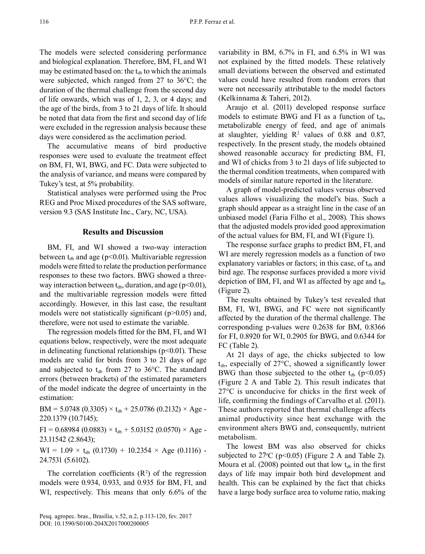The models were selected considering performance and biological explanation. Therefore, BM, FI, and WI may be estimated based on: the  $t_{db}$  to which the animals were subjected, which ranged from 27 to 36°C; the duration of the thermal challenge from the second day of life onwards, which was of 1, 2, 3, or 4 days; and the age of the birds, from 3 to 21 days of life. It should be noted that data from the first and second day of life were excluded in the regression analysis because these days were considered as the acclimation period.

The accumulative means of bird productive responses were used to evaluate the treatment effect on BM, FI, WI, BWG, and FC. Data were subjected to the analysis of variance, and means were compared by Tukey's test, at 5% probability.

Statistical analyses were performed using the Proc REG and Proc Mixed procedures of the SAS software, version 9.3 (SAS Institute Inc., Cary, NC, USA).

# **Results and Discussion**

BM, FI, and WI showed a two-way interaction between  $t_{db}$  and age (p<0.01). Multivariable regression models were fitted to relate the production performance responses to these two factors. BWG showed a threeway interaction between  $t_{db}$ , duration, and age (p<0.01), and the multivariable regression models were fitted accordingly. However, in this last case, the resultant models were not statistically significant  $(p>0.05)$  and, therefore, were not used to estimate the variable.

The regression models fitted for the BM, FI, and WI equations below, respectively, were the most adequate in delineating functional relationships  $(p<0.01)$ . These models are valid for birds from 3 to 21 days of age and subjected to  $t_{db}$  from 27 to 36°C. The standard errors (between brackets) of the estimated parameters of the model indicate the degree of uncertainty in the estimation:

 $BM = 5.0748 (0.3305) \times t_{db} + 25.0786 (0.2132) \times Age$ 220.1379 (10.7145);

 $FI = 0.68984 (0.0883) \times t_{db} + 5.03152 (0.0570) \times Age$ 23.11542 (2.8643);

 $WI = 1.09 \times t_{db} (0.1730) + 10.2354 \times Age (0.1116) -$ 24.7531 (5.6102).

The correlation coefficients  $(R<sup>2</sup>)$  of the regression models were 0.934, 0.933, and 0.935 for BM, FI, and WI, respectively. This means that only 6.6% of the

variability in BM, 6.7% in FI, and 6.5% in WI was not explained by the fitted models. These relatively small deviations between the observed and estimated values could have resulted from random errors that were not necessarily attributable to the model factors (Kelkinnama & Taheri, 2012).

Araujo et al. (2011) developed response surface models to estimate BWG and FI as a function of  $t_{db}$ , metabolizable energy of feed, and age of animals at slaughter, yielding  $R^2$  values of 0.88 and 0.87, respectively. In the present study, the models obtained showed reasonable accuracy for predicting BM, FI, and WI of chicks from 3 to 21 days of life subjected to the thermal condition treatments, when compared with models of similar nature reported in the literature.

A graph of model-predicted values versus observed values allows visualizing the model's bias. Such a graph should appear as a straight line in the case of an unbiased model (Faria Filho et al., 2008). This shows that the adjusted models provided good approximation of the actual values for BM, FI, and WI (Figure 1).

The response surface graphs to predict BM, FI, and WI are merely regression models as a function of two explanatory variables or factors; in this case, of  $t_{db}$  and bird age. The response surfaces provided a more vivid depiction of BM, FI, and WI as affected by age and  $t_{db}$ (Figure 2).

The results obtained by Tukey's test revealed that BM, FI, WI, BWG, and FC were not significantly affected by the duration of the thermal challenge. The corresponding p-values were 0.2638 for BM, 0.8366 for FI, 0.8920 for WI, 0.2905 for BWG, and 0.6344 for FC (Table 2).

At 21 days of age, the chicks subjected to low  $t_{db}$ , especially of 27 $\degree$ C, showed a significantly lower BWG than those subjected to the other  $t_{db}$  (p<0.05) (Figure 2 A and Table 2). This result indicates that 27°C is unconducive for chicks in the first week of life, confirming the findings of Carvalho et al. (2011). These authors reported that thermal challenge affects animal productivity since heat exchange with the environment alters BWG and, consequently, nutrient metabolism.

The lowest BM was also observed for chicks subjected to  $27^{\circ}$ C (p<0.05) (Figure 2 A and Table 2). Moura et al. (2008) pointed out that low  $t_{db}$  in the first days of life may impair both bird development and health. This can be explained by the fact that chicks have a large body surface area to volume ratio, making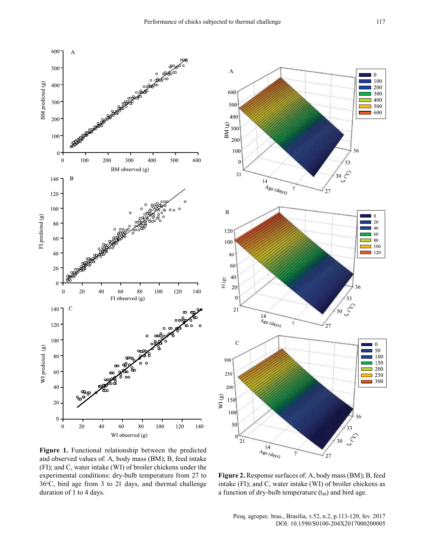



**Figure 1.** Functional relationship between the predicted and observed values of: A, body mass (BM); B, feed intake (FI); and C, water intake (WI) of broiler chickens under the experimental conditions: dry-bulb temperature from 27 to  $36^{\circ}$ C, bird age from 3 to 21 days, and thermal challenge duration of 1 to 4 days.

**Figure 2.** Response surfaces of: A, body mass (BM); B, feed intake (FI); and C, water intake (WI) of broiler chickens as a function of dry-bulb temperature  $(t_{db})$  and bird age.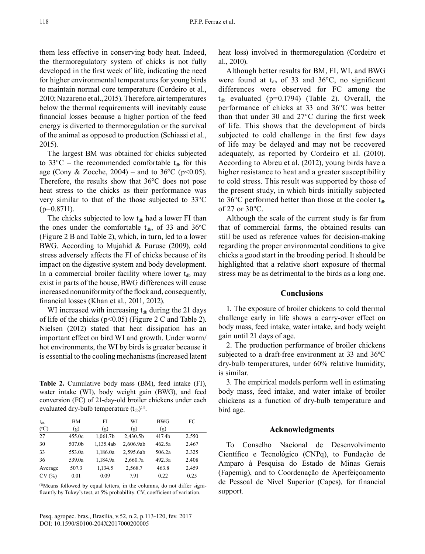them less effective in conserving body heat. Indeed, the thermoregulatory system of chicks is not fully developed in the first week of life, indicating the need for higher environmental temperatures for young birds to maintain normal core temperature (Cordeiro et al., 2010; Nazareno et al., 2015). Therefore, air temperatures below the thermal requirements will inevitably cause financial losses because a higher portion of the feed energy is diverted to thermoregulation or the survival of the animal as opposed to production (Schiassi et al., 2015).

The largest BM was obtained for chicks subjected to  $33^{\circ}\text{C}$  – the recommended comfortable  $t_{db}$  for this age (Cony & Zocche, 2004) – and to 36 °C (p<0.05). Therefore, the results show that 36°C does not pose heat stress to the chicks as their performance was very similar to that of the those subjected to 33°C  $(p=0.8711)$ .

The chicks subjected to low  $t_{db}$  had a lower FI than the ones under the comfortable  $t_{db}$ , of 33 and 36 $\degree$ C (Figure 2 B and Table 2), which, in turn, led to a lower BWG. According to Mujahid & Furuse (2009), cold stress adversely affects the FI of chicks because of its impact on the digestive system and body development. In a commercial broiler facility where lower  $t_{db}$  may exist in parts of the house, BWG differences will cause increased nonuniformity of the flock and, consequently, financial losses (Khan et al., 2011, 2012).

WI increased with increasing  $t_{db}$  during the 21 days of life of the chicks ( $p<0.05$ ) (Figure 2 C and Table 2). Nielsen (2012) stated that heat dissipation has an important effect on bird WI and growth. Under warm/ hot environments, the WI by birds is greater because it is essential to the cooling mechanisms (increased latent

**Table 2.** Cumulative body mass (BM), feed intake (FI), water intake (WI), body weight gain (BWG), and feed conversion (FC) of 21-day-old broiler chickens under each evaluated dry-bulb temperature  $(t_{db})^{(1)}$ .

| $t_{db}$      | BM     | FI        | WI        | <b>BWG</b> | FC    |
|---------------|--------|-----------|-----------|------------|-------|
| $(^{\circ}C)$ | (g)    | (g)       | (g)       | (g)        |       |
| 27            | 455.0c | 1,061.7b  | 2,430.5b  | 417.4b     | 2.550 |
| 30            | 507.0b | 1,135.4ab | 2,606.9ab | 462.5a     | 2.467 |
| 33            | 553.0a | 1,186.0a  | 2,595.6ab | 506.2a     | 2.325 |
| 36            | 539.0a | 1,184.9a  | 2,660.7a  | 492.3a     | 2.408 |
| Average       | 507.3  | 1,134.5   | 2,568.7   | 463.8      | 2.459 |
| CV(%)         | 0.01   | 0.09      | 7.91      | 0.22       | 0.25  |

(1)Means followed by equal letters, in the columns, do not differ significantly by Tukey's test, at 5% probability. CV, coefficient of variation.

Pesq. agropec. bras., Brasília, v.52, n.2, p.113-120, fev. 2017 [DOI: 10.1590/S0100-204X2017000200005](http://dx.doi.org/10.1590/S0100-204X2017000200005) 

heat loss) involved in thermoregulation (Cordeiro et al., 2010).

Although better results for BM, FI, WI, and BWG were found at  $t_{db}$  of 33 and 36°C, no significant differences were observed for FC among the  $t_{db}$  evaluated (p=0.1794) (Table 2). Overall, the performance of chicks at 33 and 36°C was better than that under 30 and 27°C during the first week of life. This shows that the development of birds subjected to cold challenge in the first few days of life may be delayed and may not be recovered adequately, as reported by Cordeiro et al. (2010). According to Abreu et al. (2012), young birds have a higher resistance to heat and a greater susceptibility to cold stress. This result was supported by those of the present study, in which birds initially subjected to  $36^{\circ}$ C performed better than those at the cooler t<sub>db</sub> of 27 or 30ºC.

Although the scale of the current study is far from that of commercial farms, the obtained results can still be used as reference values for decision-making regarding the proper environmental conditions to give chicks a good start in the brooding period. It should be highlighted that a relative short exposure of thermal stress may be as detrimental to the birds as a long one.

#### **Conclusions**

1. The exposure of broiler chickens to cold thermal challenge early in life shows a carry-over effect on body mass, feed intake, water intake, and body weight gain until 21 days of age.

2. The production performance of broiler chickens subjected to a draft-free environment at 33 and 36ºC dry-bulb temperatures, under 60% relative humidity, is similar.

3. The empirical models perform well in estimating body mass, feed intake, and water intake of broiler chickens as a function of dry-bulb temperature and bird age.

# **Acknowledgments**

To Conselho Nacional de Desenvolvimento Científico e Tecnológico (CNPq), to Fundação de Amparo à Pesquisa do Estado de Minas Gerais (Fapemig), and to Coordenação de Aperfeiçoamento de Pessoal de Nível Superior (Capes), for financial support.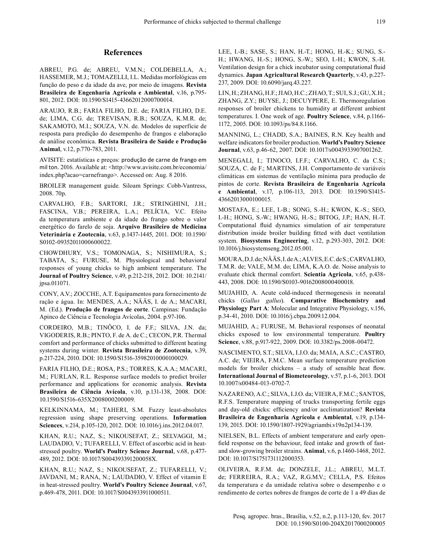### **References**

ABREU, P.G. de; ABREU, V.M.N.; COLDEBELLA, A.; HASSEMER, M.J.; TOMAZELLI, I.L. Medidas morfológicas em função do peso e da idade da ave, por meio de imagens. **Revista Brasileira de Engenharia Agrícola e Ambiental**, v.16, p.795- 801, 2012. [DOI: 10.1590/S1415-43662012000700014.](http://dx.doi.org/10.1590/S1415-43662012000700014)

ARAUJO, R.B.; FARIA FILHO, D.E. de; FARIA FILHO, D.E. de; LIMA, C.G. de; TREVISAN, R.B.; SOUZA, K.M.R. de; SAKAMOTO, M.I.; SOUZA, V.N. de. Modelos de superfície de resposta para predição do desempenho de frangos e elaboração de análise econômica. **Revista Brasileira de Saúde e Produção Animal**, v.12, p.770-783, 2011.

AVISITE: estatísticas e preços: produção de carne de frango em mil ton. 2016. Available at: <http://www.avisite.com.br/economia/ index.php?acao=carnefrango>. Accessed on: Aug. 8 2016.

BROILER management guide*.* Siloam Springs: Cobb-Vantress, 2008. 70p.

CARVALHO, F.B.; SARTORI, J.R.; STRINGHINI, J.H.; FASCINA, V.B.; PEREIRA, L.A.; PELÍCIA, V.C. Efeito da temperatura ambiente e da idade do frango sobre o valor energético do farelo de soja. **Arquivo Brasileiro de Medicina Veterinária e Zootecnia**, v.63, p.1437-1445, 2011. [DOI: 10.1590/](http://dx.doi.org/10.1590/S0102-09352011000600022) [S0102-09352011000600022.](http://dx.doi.org/10.1590/S0102-09352011000600022)

CHOWDHURY, V.S.; TOMONAGA, S.; NISHIMURA, S.; TABATA, S.; FURUSE, M. Physiological and behavioral responses of young chicks to high ambient temperature. The **Journal of Poultry Science**, v.49, p.212-218, 2012. [DOI: 10.2141/](http://dx.doi.org/10.2141/jpsa.011071) [jpsa.011071.](http://dx.doi.org/10.2141/jpsa.011071)

CONY, A.V.; ZOCCHE, A.T. Equipamentos para fornecimento de ração e água. In: MENDES, A.A.; NÄÄS, I. de A.; MACARI, M. (Ed.). **Produção de frangos de corte**. Campinas: Fundação Apinco de Ciência e Tecnologia Avícolas, 2004. p.97-106.

CORDEIRO, M.B.; TINÔCO, I. de F.F.; SILVA, J.N. da; VIGODERIS, R.B.; PINTO, F. de A. de C.; CECON, P.R. Thermal comfort and performance of chicks submitted to different heating systems during winter. **Revista Brasileira de Zootecnia**, v.39, p.217-224, 2010. [DOI: 10.1590/S1516-35982010000100029.](http://dx.doi.org/10.1590/S1516-35982010000100029)

FARIA FILHO, D.E.; ROSA, P.S.; TORRES, K.A.A.; MACARI, M.; FURLAN, R.L. Response surface models to predict broiler performance and applications for economic analysis. **Revista Brasileira de Ciência Avícola**, v.10, p.131-138, 2008. [DOI:](http://dx.doi.org/10.1590/S1516-635X2008000200009) [10.1590/S1516-635X2008000200009.](http://dx.doi.org/10.1590/S1516-635X2008000200009)

KELKINNAMA, M.; TAHERI, S.M. Fuzzy least-absolutes regression using shape preserving operations. **Information Sciences**, v.214, p.105-120, 2012. [DOI: 10.1016/j.ins.2012.04.017.](http://dx.doi.org/10.1016/j.ins.2012.04.017)

KHAN, R.U.; NAZ, S.; NIKOUSEFAT, Z.; SELVAGGI, M.; LAUDADIO, V.; TUFARELLI, V. Effect of ascorbic acid in heatstressed poultry. **World's Poultry Science Journal**, v.68, p.477- 489, 2012. [DOI: 10.1017/S004393391200058X.](http://dx.doi.org/10.1017/S004393391200058X)

KHAN, R.U.; NAZ, S.; NIKOUSEFAT, Z.; TUFARELLI, V.; JAVDANI, M.; RANA, N.; LAUDADIO, V. Effect of vitamin E in heat-stressed poultry. **World's Poultry Science Journal**, v.67, p.469-478, 2011. [DOI: 10.1017/S0043933911000511.](http://dx.doi.org/10.1017/S0043933911000511)

LEE, I.-B.; SASE, S.; HAN, H.-T.; HONG, H.-K.; SUNG, S.- H.; HWANG, H.-S.; HONG, S.-W.; SEO, I.-H.; KWON, S.-H. Ventilation design for a chick incubator using computational fluid dynamics. **Japan Agricultural Research Quarterly**, v.43, p.227- 237, 2009. [DOI: 10.6090/jarq.43.227.](http://dx.doi.org/10.6090/jarq.43.227)

LIN, H.; ZHANG, H.F.; JIAO, H.C.; ZHAO, T.; SUI, S.J.; GU, X.H.; ZHANG, Z.Y.; BUYSE, J.; DECUYPERE, E. Thermoregulation responses of broiler chickens to humidity at different ambient temperatures. I. One week of age. **Poultry Science**, v.84, p.1166- 1172, 2005. [DOI: 10.1093/ps/84.8.1166.](http://dx.doi.org/10.1093/ps/84.8.1166)

MANNING, L.; CHADD, S.A.; BAINES, R.N. Key health and welfare indicators for broiler production. **World's Poultry Science Journal**, v.63, p.46-62, 2007. [DOI: 10.1017/s0043933907001262.](http://dx.doi.org/10.1017/s0043933907001262)

MENEGALI, I.; TINOCO, I.F.F.; CARVALHO, C. da C.S.; SOUZA, C. de F.; MARTINS, J.H. Comportamento de variáveis climáticas em sistemas de ventilação mínima para produção de pintos de corte. **Revista Brasileira de Engenharia Agrícola e Ambiental**, v.17, p.106-113, 2013. [DOI: 10.1590/S1415-](http://dx.doi.org/10.1590/S1415-43662013000100015) [43662013000100015.](http://dx.doi.org/10.1590/S1415-43662013000100015)

MOSTAFA, E.; LEE, I.-B.; SONG, S.-H.; KWON, K.-S.; SEO, I.-H.; HONG, S.-W.; HWANG, H.-S.; BITOG, J.P.; HAN, H.-T. Computational fluid dynamics simulation of air temperature distribution inside broiler building fitted with duct ventilation system. **Biosystems Engineering**, v.12, p.293-303, 2012. [DOI:](http://dx.doi.org/10.1016/j.biosystemseng.2012.05.001)  [10.1016/j.biosystemseng.2012.05.001.](http://dx.doi.org/10.1016/j.biosystemseng.2012.05.001)

MOURA, D.J. de; NÄÄS, I. de A.; ALVES, E.C. de S.; CARVALHO, T.M.R. de; VALE, M.M. do; LIMA, K.A.O. de. Noise analysis to evaluate chick thermal comfort. **Scientia Agricola**, v.65, p.438- 443, 2008. [DOI: 10.1590/S0103-90162008000400018.](http://dx.doi.org/10.1590/S0103-90162008000400018)

MUJAHID, A. Acute cold-induced thermogenesis in neonatal chicks (*Gallus gallus*). **Comparative Biochemistry and Physiology Part A**: Molecular and Integrative Physiology, v.156, p.34-41, 2010. [DOI: 10.1016/j.cbpa.2009.12.004.](http://dx.doi.org/10.1016/j.cbpa.2009.12.00)

MUJAHID, A.; FURUSE, M. Behavioral responses of neonatal chicks exposed to low environmental temperature. **Poultry Science**, v.88, p.917-922, 2009. [DOI: 10.3382/ps.2008-00472.](http://dx.doi.org/10.3382/ps.2008-00472)

NASCIMENTO, S.T.; SILVA, I.J.O. da; MAIA, A.S.C.; CASTRO, A.C. de; VIEIRA, F.M.C. Mean surface temperature prediction models for broiler chickens – a study of sensible heat flow. **International Journal of Biometeorology**, v.57, p.1-6, 2013. [DOI](http://dx.doi.org/10.1007/s00484-013-0702-7)  [10.1007/s00484-013-0702-7.](http://dx.doi.org/10.1007/s00484-013-0702-7)

NAZARENO, A.C.; SILVA, I.J.O. da; VIEIRA, F.M.C.; SANTOS, R.F.S. Temperature mapping of trucks transporting fertile eggs and day-old chicks: efficiency and/or acclimatization? **Revista Brasileira de Engenharia Agrícola e Ambiental**, v.19, p.134- 139, 2015. [DOI: 10.1590/1807-1929/agriambi.v19n2p134-139.](http://dx.doi.org/10.1590/1807-1929/agriambi.v19n2p134-139)

NIELSEN, B.L. Effects of ambient temperature and early openfield response on the behaviour, feed intake and growth of fastand slow-growing broiler strains. **Animal**, v.6, p.1460-1468, 2012. [DOI: 10.1017/S1751731112000353.](http://dx.doi.org/10.1017/S1751731112000353)

OLIVEIRA, R.F.M. de; DONZELE, J.L.; ABREU, M.L.T. de; FERREIRA, R.A.; VAZ, R.G.M.V.; CELLA, P.S. Efeitos da temperatura e da umidade relativa sobre o desempenho e o rendimento de cortes nobres de frangos de corte de 1 a 49 dias de